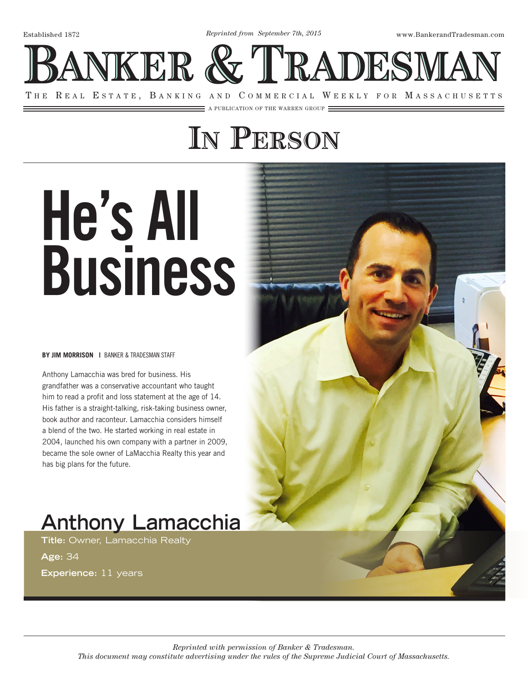Established 1872 www.BankerandTradesman.com *Reprinted from September 7th, 2015*

ANKER & TRADESMAN

THE REAL ESTATE, BANKING AND COMMERCIAL WEEKLY FOR MASSACHUSETTS

 $\equiv$  a publication of the warren group  $\equiv$ 

## **In Person**

# He's All Business

#### **BY JIM MORRISON |** BANKER & TRADESMAN STAFF

Anthony Lamacchia was bred for business. His grandfather was a conservative accountant who taught him to read a profit and loss statement at the age of 14. His father is a straight-talking, risk-taking business owner, book author and raconteur. Lamacchia considers himself a blend of the two. He started working in real estate in 2004, launched his own company with a partner in 2009, became the sole owner of LaMacchia Realty this year and has big plans for the future.

## **Anthony Lamacchia**

**Title:** Owner, Lamacchia Realty

**Age:** 34

**Experience:** 11 years